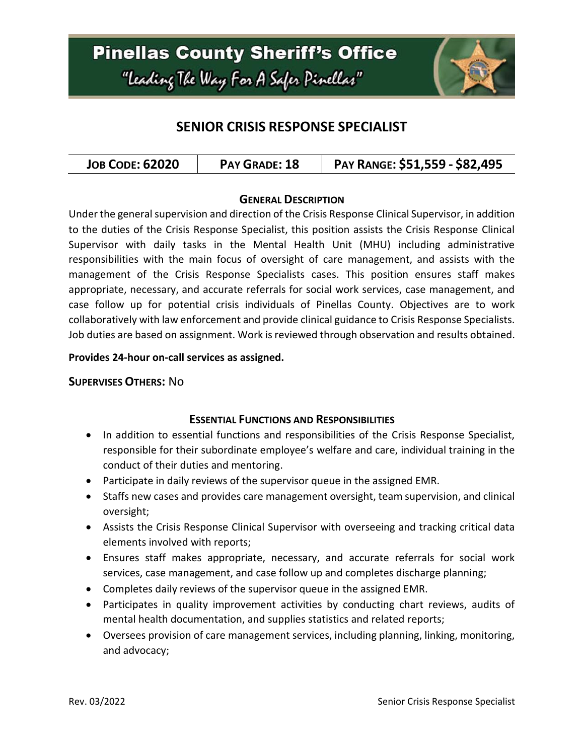### **Pinellas County Sheriff's Office** "leading The Way For A Safer Pinellar"



### **SENIOR CRISIS RESPONSE SPECIALIST**

| <b>JOB CODE: 62020</b><br>PAY GRADE: 18 | PAY RANGE: \$51,559 - \$82,495 |
|-----------------------------------------|--------------------------------|
|-----------------------------------------|--------------------------------|

#### **GENERAL DESCRIPTION**

Under the general supervision and direction of the Crisis Response Clinical Supervisor, in addition to the duties of the Crisis Response Specialist, this position assists the Crisis Response Clinical Supervisor with daily tasks in the Mental Health Unit (MHU) including administrative responsibilities with the main focus of oversight of care management, and assists with the management of the Crisis Response Specialists cases. This position ensures staff makes appropriate, necessary, and accurate referrals for social work services, case management, and case follow up for potential crisis individuals of Pinellas County. Objectives are to work collaboratively with law enforcement and provide clinical guidance to Crisis Response Specialists. Job duties are based on assignment. Work is reviewed through observation and results obtained.

#### **Provides 24-hour on-call services as assigned.**

#### **SUPERVISES OTHERS:** No

### **ESSENTIAL FUNCTIONS AND RESPONSIBILITIES**

- In addition to essential functions and responsibilities of the Crisis Response Specialist, responsible for their subordinate employee's welfare and care, individual training in the conduct of their duties and mentoring.
- Participate in daily reviews of the supervisor queue in the assigned EMR.
- Staffs new cases and provides care management oversight, team supervision, and clinical oversight;
- Assists the Crisis Response Clinical Supervisor with overseeing and tracking critical data elements involved with reports;
- Ensures staff makes appropriate, necessary, and accurate referrals for social work services, case management, and case follow up and completes discharge planning;
- Completes daily reviews of the supervisor queue in the assigned EMR.
- Participates in quality improvement activities by conducting chart reviews, audits of mental health documentation, and supplies statistics and related reports;
- Oversees provision of care management services, including planning, linking, monitoring, and advocacy;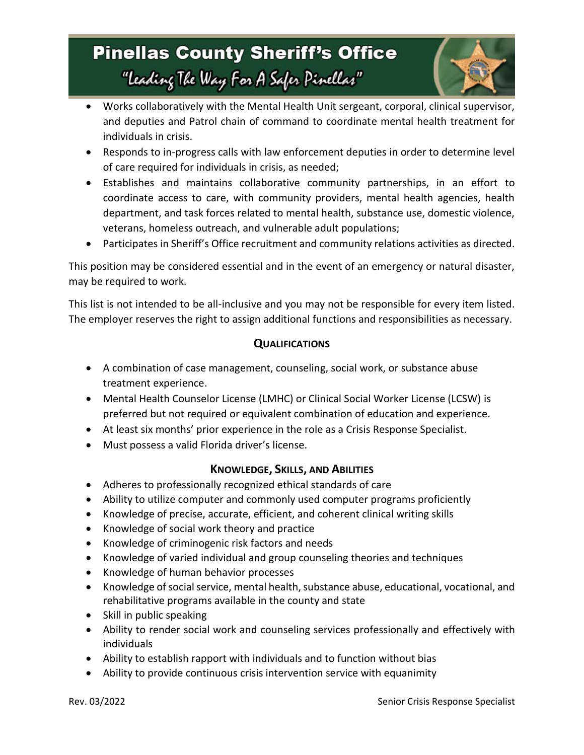# **Pinellas County Sheriff's Office** "leading The Way For A Safer Pinellar"



- Works collaboratively with the Mental Health Unit sergeant, corporal, clinical supervisor, and deputies and Patrol chain of command to coordinate mental health treatment for individuals in crisis.
- Responds to in-progress calls with law enforcement deputies in order to determine level of care required for individuals in crisis, as needed;
- Establishes and maintains collaborative community partnerships, in an effort to coordinate access to care, with community providers, mental health agencies, health department, and task forces related to mental health, substance use, domestic violence, veterans, homeless outreach, and vulnerable adult populations;
- Participates in Sheriff's Office recruitment and community relations activities as directed.

This position may be considered essential and in the event of an emergency or natural disaster, may be required to work.

This list is not intended to be all-inclusive and you may not be responsible for every item listed. The employer reserves the right to assign additional functions and responsibilities as necessary.

### **QUALIFICATIONS**

- A combination of case management, counseling, social work, or substance abuse treatment experience.
- Mental Health Counselor License (LMHC) or Clinical Social Worker License (LCSW) is preferred but not required or equivalent combination of education and experience.
- At least six months' prior experience in the role as a Crisis Response Specialist.
- Must possess a valid Florida driver's license.

### **KNOWLEDGE, SKILLS, AND ABILITIES**

- Adheres to professionally recognized ethical standards of care
- Ability to utilize computer and commonly used computer programs proficiently
- Knowledge of precise, accurate, efficient, and coherent clinical writing skills
- Knowledge of social work theory and practice
- Knowledge of criminogenic risk factors and needs
- Knowledge of varied individual and group counseling theories and techniques
- Knowledge of human behavior processes
- Knowledge of social service, mental health, substance abuse, educational, vocational, and rehabilitative programs available in the county and state
- Skill in public speaking
- Ability to render social work and counseling services professionally and effectively with individuals
- Ability to establish rapport with individuals and to function without bias
- Ability to provide continuous crisis intervention service with equanimity